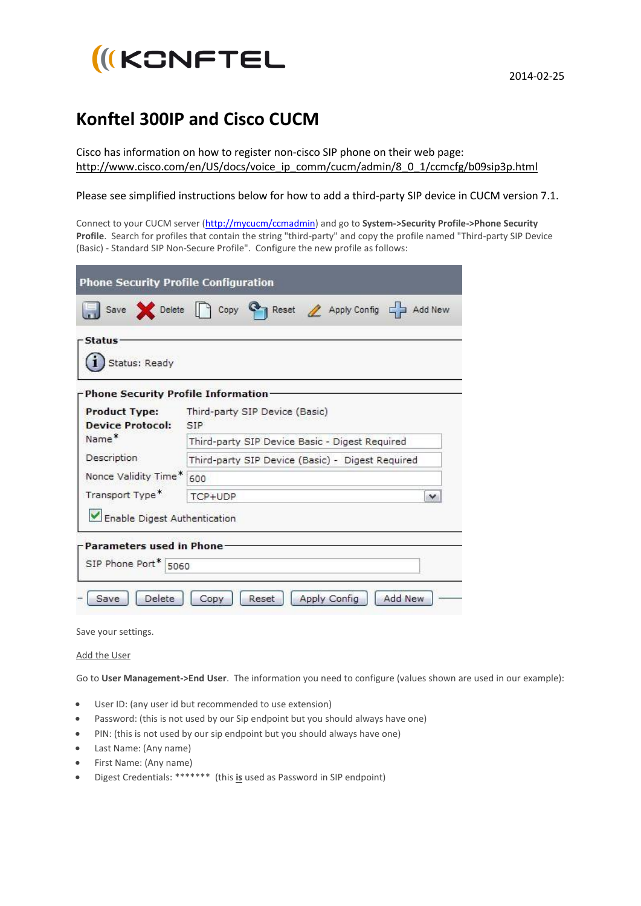

## **Konftel 300IP and Cisco CUCM**

Cisco has information on how to register non-cisco SIP phone on their web page: [http://www.cisco.com/en/US/docs/voice\\_ip\\_comm/cucm/admin/8\\_0\\_1/ccmcfg/b09sip3p.html](http://www.cisco.com/en/US/docs/voice_ip_comm/cucm/admin/8_0_1/ccmcfg/b09sip3p.html)

## Please see simplified instructions below for how to add a third-party SIP device in CUCM version 7.1.

Connect to your CUCM server [\(http://mycucm/ccmadmin\)](http://mycucm/ccmadmin) and go to **System->Security Profile->Phone Security Profile**. Search for profiles that contain the string "third-party" and copy the profile named "Third-party SIP Device (Basic) - Standard SIP Non-Secure Profile". Configure the new profile as follows:

| <b>Phone Security Profile Configuration</b>                | Save Delete Copy C Reset Apply Config C Add New  |  |  |
|------------------------------------------------------------|--------------------------------------------------|--|--|
| <b>Status</b><br>Status: Ready                             |                                                  |  |  |
| Phone Security Profile Information<br><b>Product Type:</b> | Third-party SIP Device (Basic)                   |  |  |
| <b>Device Protocol:</b>                                    | SIP <sup></sup>                                  |  |  |
| Name <sup>*</sup>                                          | Third-party SIP Device Basic - Digest Required   |  |  |
| Description                                                | Third-party SIP Device (Basic) - Digest Required |  |  |
| Nonce Validity Time*                                       | 600                                              |  |  |
| Transport Type <sup>*</sup>                                | TCP+UDP<br>v                                     |  |  |
| Enable Digest Authentication                               |                                                  |  |  |
| Parameters used in Phone-<br>SIP Phone Port* 5060          |                                                  |  |  |
| Delete<br>Save                                             | Add New<br>Apply Config<br>Reset<br>Copy         |  |  |

Save your settings.

Add the User

Go to **User Management->End User**. The information you need to configure (values shown are used in our example):

- User ID: (any user id but recommended to use extension)
- Password: (this is not used by our Sip endpoint but you should always have one)
- PIN: (this is not used by our sip endpoint but you should always have one)
- Last Name: (Any name)
- First Name: (Any name)
- Digest Credentials: \*\*\*\*\*\*\* (this **is** used as Password in SIP endpoint)